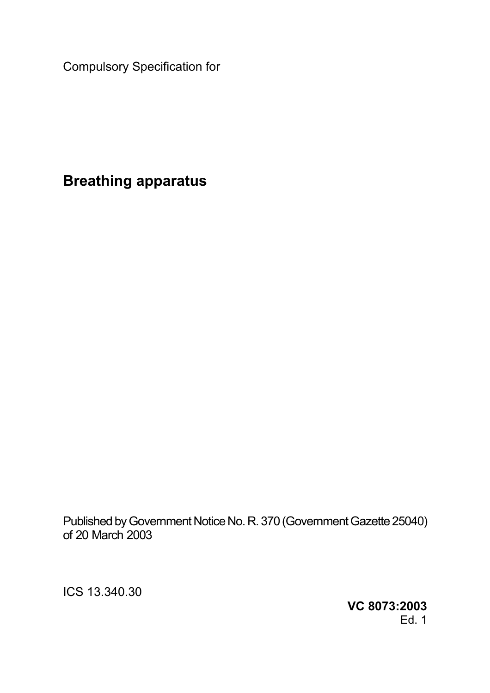Compulsory Specification for

# **Breathing apparatus**

Published by Government Notice No. R. 370 (Government Gazette 25040) of 20 March 2003

ICS 13.340.30

**VC 8073:2003** Ed. 1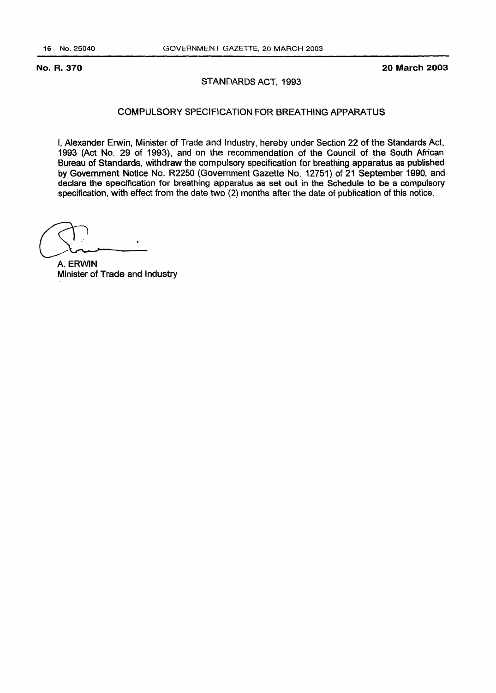No. R. 370

20 March 2003

#### STANDARDS ACT, 1993

### COMPULSORY SPECIFICATION FOR BREATHING APPARATUS

I, Alexander Erwin, Minister of Trade and Industry, hereby under Section 22 of the Standards Act, 1993 (Act No. 29 of 1993), and on the recommendation of the Council of the South African Bureau of Standards, withdraw the compulsory specification for breathing apparatus as published by Government Notice No. R2250 (Government Gazette No. 12751) of 21 September 1990. and declare the specification for breathing apparatus as set out in the Schedule to be a compulsory specification, with effect from the date two (2) months after the date of publication of this notice.

A. ERWIN Minister of Trade and Industry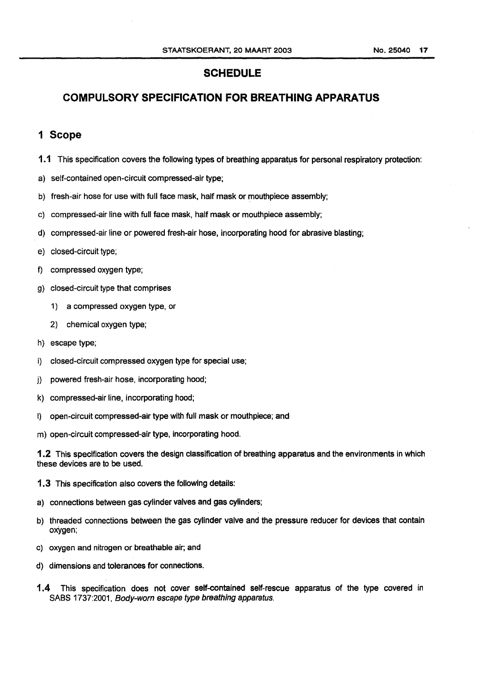# **SCHEDULE**

# COMPULSORY SPECIFICATION FOR BREATHING APPARATUS

## 1 Scope

- 1.1 This specification covers the following types of breathing apparatus for personal respiratory protection:
- a) self-contained open-circuit compressed-air type;
- b) fresh-air hose for use with full face mask, half mask or mouthpiece assembly;
- c) compressed-air line with full face mask, half mask or mouthpiece assembly;
- d) compressed-air line or powered fresh-air hose, incorporating hood for abrasive blasting;
- e) closed-circuit type;
- f) compressed oxygen type;
- g) closed-circuit type that comprises
	- 1) a compressed oxygen type, or
	- 2) chemical oxygen type;
- h) escape type;
- i) closed-circuit compressed oxygen type for special use;
- j) powered fresh-air hose, incorporating hood;
- k) compressed-air line, incorporating hood;
- I) open-circuit compressed-air type with full mask or mouthpiece; and
- m) open-circuit compressed-air type, incorporating hood.

1.2 This specification covers the design classification of breathing apparatus and the environments in which these devices are to be used.

- 1.3 This specification also covers the following details:
- a) connections between gas cylinder valves and gas cylinders;
- b) threaded connections between the gas cylinder valve and the pressure reducer for devices that contain oxygen;
- c) oxygen and nitrogen or breathable air; and
- d) dimensions and tolerances for connections.
- 1.4 This specification does not cover self-contained self-rescue apparatus of the type covered in SABS 1737:2001, Body-worn escape type breathing apparatus.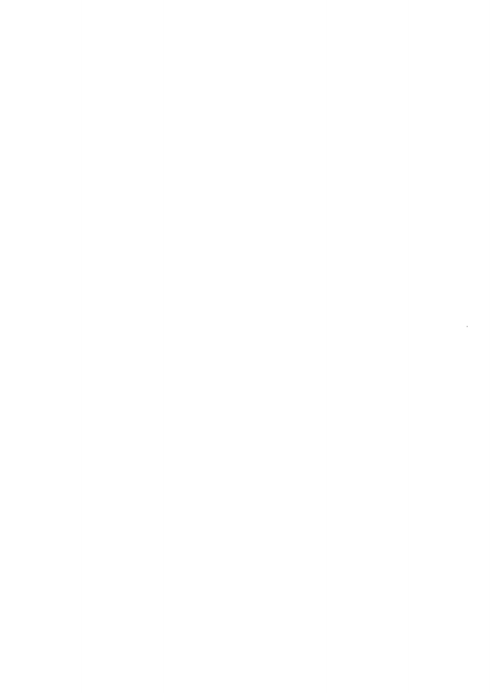$\hat{\boldsymbol{\theta}}$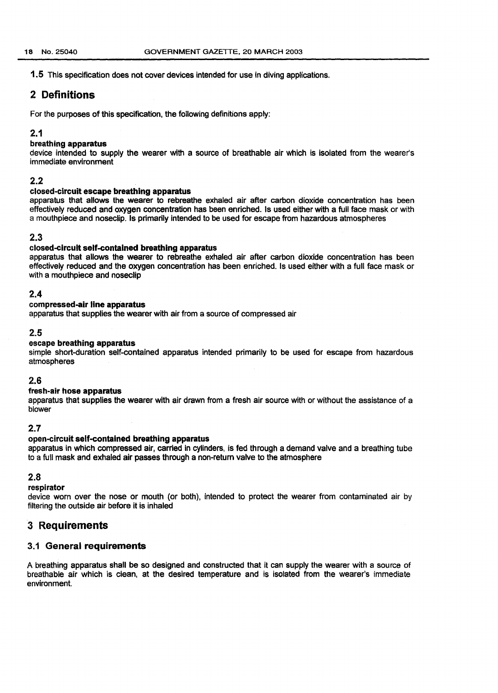**1.5** This specification does not cover devices intended for use in diving applications.

# 2 Definitions

For the purposes of this specification, the following definitions apply:

#### 2.1

#### breathing apparatus

device intended to supply the wearer with a source of breathable air which is isolated from the wearer's immediate environment

#### 2.2

## closed-circuit escape breathing apparatus

apparatus that allows the wearer to rebreathe exhaled air after carbon dioxide concentration has been effectively reduced and oxygen concentration has been enriched. Is used either with a full face mask or with a mouthpiece and noseclip. Is primarily intended to be used for escape from hazardous atmospheres

#### 2.3

#### closed-circult self-contained breathing apparatus

apparatus that allows the wearer to rebreathe exhaled air after carbon dioxide concentration has been effectively reduced and the oxygen concentration has been enriched. Is used either with a full face mask or with a mouthpiece and noseclip

#### 2.4

#### compressed-air line apparatus

apparatus that supplies the wearer with air from a source of compressed air

#### 2.5

#### escape breathing apparatus

simple short-duration self-contained apparatus intended primarily to be used for escape from hazardous atmospheres

#### 2.6

#### fresh-air hose apparatus

apparatus that supplies the wearer with air drawn from a fresh air source with or without the assistance of a blower

#### 2.7

#### open-circuit self-contained breathing apparatus

apparatus in which compressed air, carried in cylinders, is fed through a demand valve and a breathing tube to a full mask and exhaled air passes through a non-return valve to the atmosphere

#### 2.8

#### respirator

device worn over the nose or mouth (or both), intended to protect the wearer from contaminated air by filtering the outside air before it is inhaled

# 3 Requirements

#### 3.1 General requirements

A breathing apparatus shall be so designed and constructed that it can supply the wearer with a source of breathable air which is clean, at the desired temperature and is isolated from the wearer's immediate environment.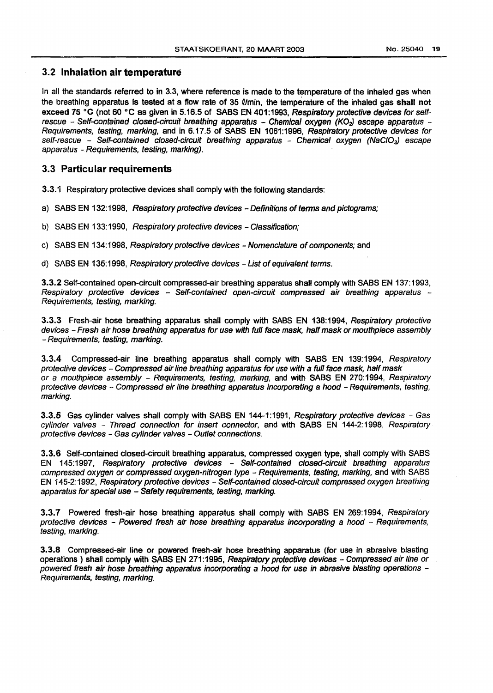## 3.2 Inhalation air temperature

In all the standards referred to in 3.3, where reference is made to the temperature of the inhaled gas when the breathing apparatus is tested at a flow rate of  $35$   $\ell$ /min, the temperature of the inhaled gas shall not exceed 75 °C (not 60 °C as given in 5.16.5 of SABS EN 401:1993, Respiratory protective devices for selfrescue - Self-contained closed-circuit breathing apparatus - Chemical oxygen (KO2) escape apparatus -Requirements, testing, marking, and in 6.17.5 of SASS EN 1061:1996, Respiratory protective devices for self-rescue - Self-contained closed-circuit breathing apparatus - Chemical oxygen (NaClO<sub>3</sub>) escape apparatus - Requirements, testing, marking).

## 3.3 Particular requirements

3.3.1 Respiratory protective devices shall comply with the following standards:

- a) SABS EN 132:1998, Respiratory protective devices Definitions of terms and pictograms;
- b) SABS EN 133:1990, Respiratory protective devices Classification;
- c) SABS EN 134:1998, Respiratory protective devices Nomenclature of components; and

d) SABS EN 135:1998, Respiratory protective devices - List of equivalent terms.

3.3.2 Self-contained open-circuit compressed-air breathing apparatus shall comply with SASS EN 137:1993, Respiratory protective devices - Self-contained open-circuit compressed air breathing apparatus -Requirements, testing, marking.

3.3.3 Fresh-air hose breathing apparatus shall comply with SABS EN 138:1994, Respiratory protective devices - Fresh air hose breathing apparatus for use with full face mask, half mask or mouthpiece assembly - Requirements, testing, marking.

3.3.4 Compressed-air line breathing apparatus shall comply with SABS EN 139:1994, Respiratory protective devices - Compressed air line breathing apparatus for use with a full face mask, half mask or a mouthpiece assembly - Requirements, testing, marking, and with SABS EN 270:1994, Respiratory protective devices - Compressed air line breathing apparatus incorporating a hood - Requirements, testing, marking.

3.3.5 Gas cylinder valves shall comply with SABS EN 144-1:1991, Respiratory protective devices - Gas cylinder valves - Thread connection for insert connector, and with SABS EN 144-2:1998, Respiratory protective devices - Gas cylinder valves - Outlet connections.

3.3.6 Self-contained closed-circuit breathing apparatus, compressed oxygen type, shall comply with SASS EN 145:1997, Respiratory protective devices - Self-contained closed-circuit breathing apparatus compressed oxygen or compressed oxygen-nitrogen type - Requirements, testing, marking, and with SABS EN 145-2:1992, Respiratory protective devices - Self-contained closed-circuit compressed oxygen breathing apparatus for special use - Safety requirements, testing, marking.

3.3.7 Powered fresh-air hose breathing apparatus shall comply with SABS EN 269:1994, Respiratory protective devices - Powered fresh air hose breathing apparatus incorporating a hood - Requirements, testing, marking.

3.3.8 Compressed-air line or powered fresh-air hose breathing apparatus (for use in abrasive blasting operations ) shall comply with SASS EN 271:1995, Respiratory protective devices - Compressed air line or powered fresh air hose breathing apparatus incorporating a hood for use in abrasive blasting operations - Requirements, testing, marking.